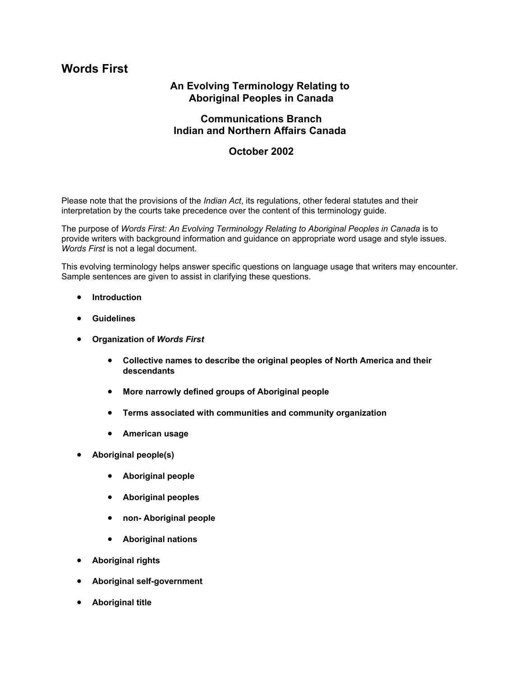# **Words First**

# **An Evolving Terminology Relating to Aboriginal Peoples in Canada**

## **Communications Branch Indian and Northern Affairs Canada**

## **October 2002**

Please note that the provisions of the *Indian Act*, its regulations, other federal statutes and their interpretation by the courts take precedence over the content of this terminology guide.

The purpose of *Words First: An Evolving Terminology Relating to Aboriginal Peoples in Canada* is to provide writers with background information and guidance on appropriate word usage and style issues. *Words First* is not a legal document.

This evolving terminology helps answer specific questions on language usage that writers may encounter. Sample sentences are given to assist in clarifying these questions.

- **Introduction**
- **Guidelines**
- **Organization of** *Words First*
	- **Collective names to describe the original peoples of North America and their descendants**
	- **More narrowly defined groups of Aboriginal people**
	- **Terms associated with communities and community organization**
	- **American usage**
- **Aboriginal people(s)**
	- **Aboriginal people**
	- **Aboriginal peoples**
	- **non- Aboriginal people**
	- **Aboriginal nations**
- **Aboriginal rights**
- **Aboriginal self-government**
- **Aboriginal title**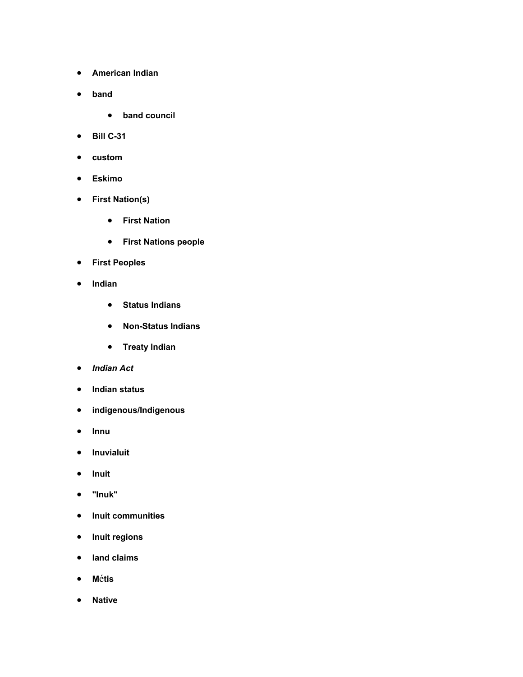- **American Indian**
- **band**
	- **band council**
- **Bill C-31**
- **custom**
- **Eskimo**
- **First Nation(s)**
	- **First Nation**
	- **First Nations people**
- **First Peoples**
- **Indian**
	- **Status Indians**
	- **Non-Status Indians**
	- **Treaty Indian**
- *Indian Act*
- **Indian status**
- **indigenous/Indigenous**
- **Innu**
- **Inuvialuit**
- **Inuit**
- **"Inuk"**
- **Inuit communities**
- **Inuit regions**
- **land claims**
- **M**é**tis**
- **Native**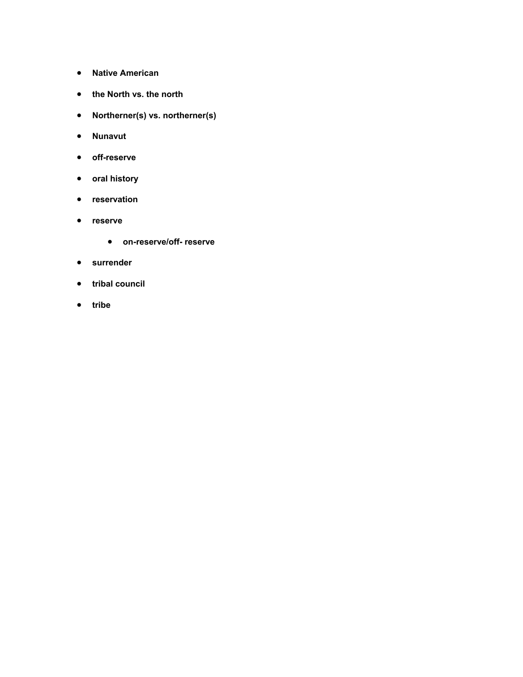- **Native American**
- **the North vs. the north**
- **Northerner(s) vs. northerner(s)**
- **Nunavut**
- **off-reserve**
- **oral history**
- **reservation**
- **reserve**
	- **on-reserve/off- reserve**
- **surrender**
- **tribal council**
- **tribe**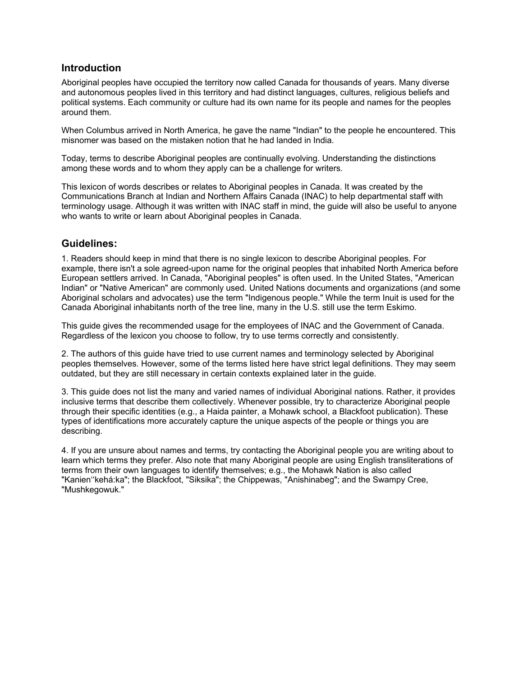## **Introduction**

Aboriginal peoples have occupied the territory now called Canada for thousands of years. Many diverse and autonomous peoples lived in this territory and had distinct languages, cultures, religious beliefs and political systems. Each community or culture had its own name for its people and names for the peoples around them.

When Columbus arrived in North America, he gave the name "Indian" to the people he encountered. This misnomer was based on the mistaken notion that he had landed in India.

Today, terms to describe Aboriginal peoples are continually evolving. Understanding the distinctions among these words and to whom they apply can be a challenge for writers.

This lexicon of words describes or relates to Aboriginal peoples in Canada. It was created by the Communications Branch at Indian and Northern Affairs Canada (INAC) to help departmental staff with terminology usage. Although it was written with INAC staff in mind, the guide will also be useful to anyone who wants to write or learn about Aboriginal peoples in Canada.

## **Guidelines:**

1. Readers should keep in mind that there is no single lexicon to describe Aboriginal peoples. For example, there isn't a sole agreed-upon name for the original peoples that inhabited North America before European settlers arrived. In Canada, "Aboriginal peoples" is often used. In the United States, "American Indian" or "Native American" are commonly used. United Nations documents and organizations (and some Aboriginal scholars and advocates) use the term "Indigenous people." While the term Inuit is used for the Canada Aboriginal inhabitants north of the tree line, many in the U.S. still use the term Eskimo.

This guide gives the recommended usage for the employees of INAC and the Government of Canada. Regardless of the lexicon you choose to follow, try to use terms correctly and consistently.

2. The authors of this guide have tried to use current names and terminology selected by Aboriginal peoples themselves. However, some of the terms listed here have strict legal definitions. They may seem outdated, but they are still necessary in certain contexts explained later in the guide.

3. This guide does not list the many and varied names of individual Aboriginal nations. Rather, it provides inclusive terms that describe them collectively. Whenever possible, try to characterize Aboriginal people through their specific identities (e.g., a Haida painter, a Mohawk school, a Blackfoot publication). These types of identifications more accurately capture the unique aspects of the people or things you are describing.

4. If you are unsure about names and terms, try contacting the Aboriginal people you are writing about to learn which terms they prefer. Also note that many Aboriginal people are using English transliterations of terms from their own languages to identify themselves; e.g., the Mohawk Nation is also called "Kanien''kehá:ka"; the Blackfoot, "Siksika"; the Chippewas, "Anishinabeg"; and the Swampy Cree, "Mushkegowuk."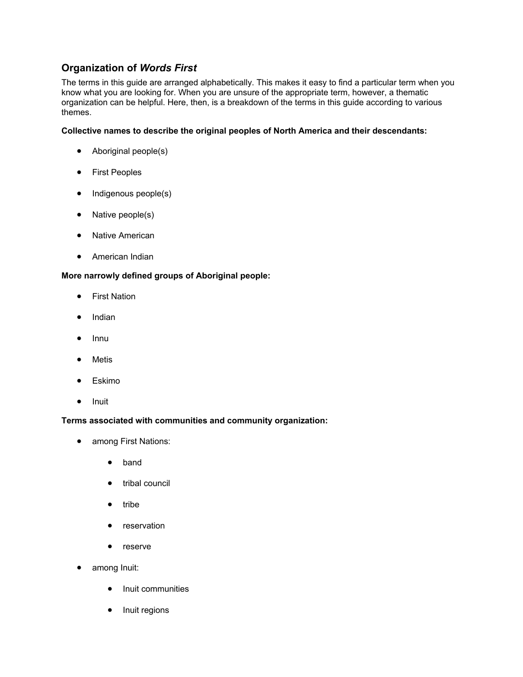# **Organization of** *Words First*

The terms in this guide are arranged alphabetically. This makes it easy to find a particular term when you know what you are looking for. When you are unsure of the appropriate term, however, a thematic organization can be helpful. Here, then, is a breakdown of the terms in this guide according to various themes.

### **Collective names to describe the original peoples of North America and their descendants:**

- Aboriginal people(s)
- First Peoples
- Indigenous people(s)
- Native people(s)
- Native American
- American Indian

### **More narrowly defined groups of Aboriginal people:**

- First Nation
- Indian
- Innu
- Metis
- Eskimo
- Inuit

#### **Terms associated with communities and community organization:**

- among First Nations:
	- band
	- tribal council
	- tribe
	- reservation
	- reserve
- among Inuit:
	- Inuit communities
	- Inuit regions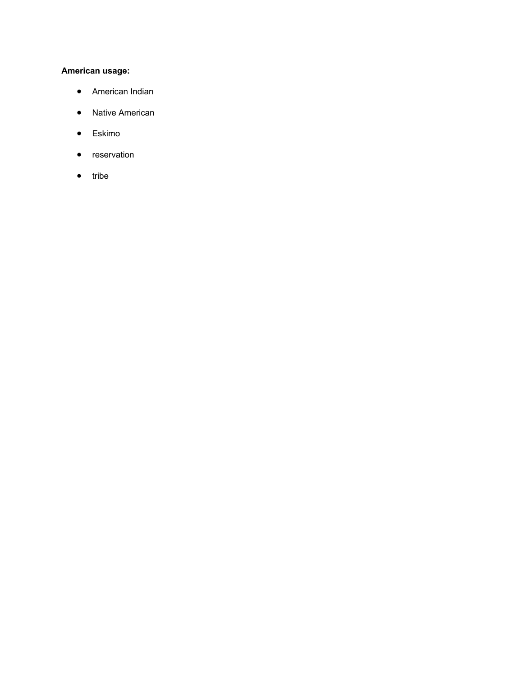## **American usage:**

- American Indian
- Native American
- Eskimo
- reservation
- tribe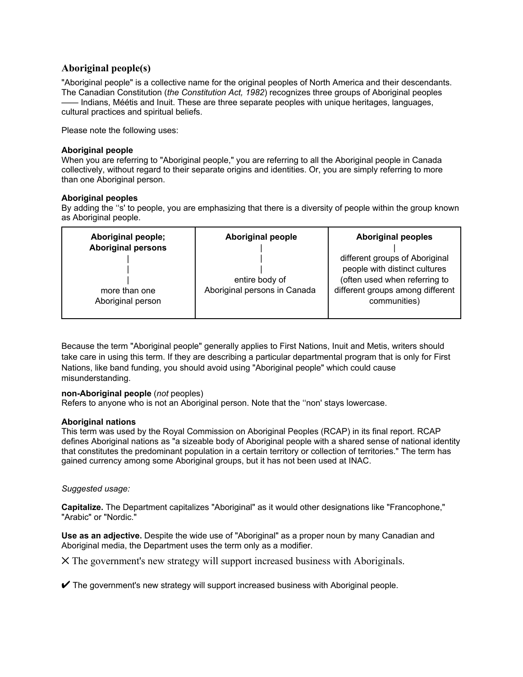## **Aboriginal people(s)**

"Aboriginal people" is a collective name for the original peoples of North America and their descendants. The Canadian Constitution (*the Constitution Act, 1982*) recognizes three groups of Aboriginal peoples Indians, Méétis and Inuit. These are three separate peoples with unique heritages, languages, cultural practices and spiritual beliefs.

Please note the following uses:

#### **Aboriginal people**

When you are referring to "Aboriginal people," you are referring to all the Aboriginal people in Canada collectively, without regard to their separate origins and identities. Or, you are simply referring to more than one Aboriginal person.

#### **Aboriginal peoples**

By adding the ''s' to people, you are emphasizing that there is a diversity of people within the group known as Aboriginal people.

| Aboriginal people;                 | <b>Aboriginal people</b>     | <b>Aboriginal peoples</b>                        |
|------------------------------------|------------------------------|--------------------------------------------------|
| <b>Aboriginal persons</b>          |                              |                                                  |
|                                    |                              | different groups of Aboriginal                   |
|                                    |                              | people with distinct cultures                    |
|                                    | entire body of               | (often used when referring to                    |
| more than one<br>Aboriginal person | Aboriginal persons in Canada | different groups among different<br>communities) |
|                                    |                              |                                                  |

Because the term "Aboriginal people" generally applies to First Nations, Inuit and Metis, writers should take care in using this term. If they are describing a particular departmental program that is only for First Nations, like band funding, you should avoid using "Aboriginal people" which could cause misunderstanding.

#### **non-Aboriginal people** (*not* peoples)

Refers to anyone who is not an Aboriginal person. Note that the ''non' stays lowercase.

#### **Aboriginal nations**

This term was used by the Royal Commission on Aboriginal Peoples (RCAP) in its final report. RCAP defines Aboriginal nations as "a sizeable body of Aboriginal people with a shared sense of national identity that constitutes the predominant population in a certain territory or collection of territories." The term has gained currency among some Aboriginal groups, but it has not been used at INAC.

#### *Suggested usage:*

**Capitalize.** The Department capitalizes "Aboriginal" as it would other designations like "Francophone," "Arabic" or "Nordic."

**Use as an adjective.** Despite the wide use of "Aboriginal" as a proper noun by many Canadian and Aboriginal media, the Department uses the term only as a modifier.

V The government's new strategy will support increased business with Aboriginals.

 $\blacktriangledown$  The government's new strategy will support increased business with Aboriginal people.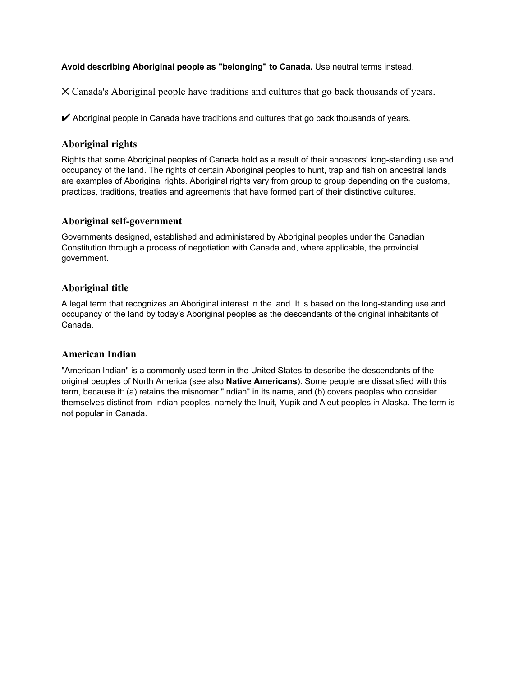## **Avoid describing Aboriginal people as "belonging" to Canada.** Use neutral terms instead.

V Canada's Aboriginal people have traditions and cultures that go back thousands of years.

 $\blacktriangleright$  Aboriginal people in Canada have traditions and cultures that go back thousands of years.

## **Aboriginal rights**

Rights that some Aboriginal peoples of Canada hold as a result of their ancestors' long-standing use and occupancy of the land. The rights of certain Aboriginal peoples to hunt, trap and fish on ancestral lands are examples of Aboriginal rights. Aboriginal rights vary from group to group depending on the customs, practices, traditions, treaties and agreements that have formed part of their distinctive cultures.

## **Aboriginal self-government**

Governments designed, established and administered by Aboriginal peoples under the Canadian Constitution through a process of negotiation with Canada and, where applicable, the provincial government.

## **Aboriginal title**

A legal term that recognizes an Aboriginal interest in the land. It is based on the long-standing use and occupancy of the land by today's Aboriginal peoples as the descendants of the original inhabitants of Canada.

### **American Indian**

"American Indian" is a commonly used term in the United States to describe the descendants of the original peoples of North America (see also **Native Americans**). Some people are dissatisfied with this term, because it: (a) retains the misnomer "Indian" in its name, and (b) covers peoples who consider themselves distinct from Indian peoples, namely the Inuit, Yupik and Aleut peoples in Alaska. The term is not popular in Canada.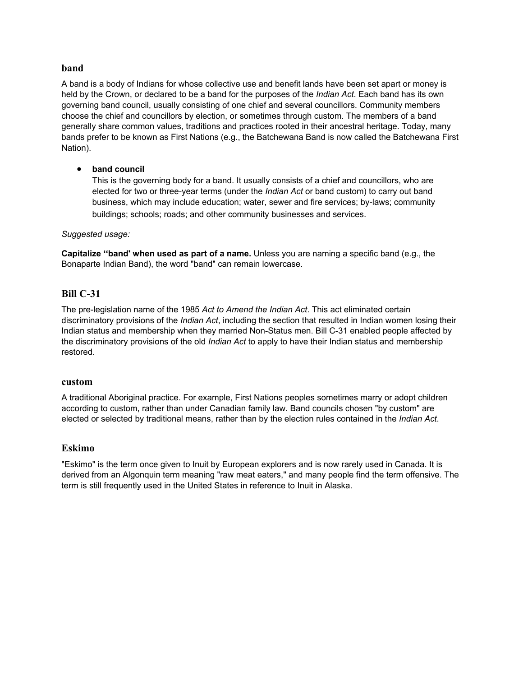### **band**

A band is a body of Indians for whose collective use and benefit lands have been set apart or money is held by the Crown, or declared to be a band for the purposes of the *Indian Act*. Each band has its own governing band council, usually consisting of one chief and several councillors. Community members choose the chief and councillors by election, or sometimes through custom. The members of a band generally share common values, traditions and practices rooted in their ancestral heritage. Today, many bands prefer to be known as First Nations (e.g., the Batchewana Band is now called the Batchewana First Nation).

### • **band council**

This is the governing body for a band. It usually consists of a chief and councillors, who are elected for two or three-year terms (under the *Indian Act* or band custom) to carry out band business, which may include education; water, sewer and fire services; by-laws; community buildings; schools; roads; and other community businesses and services.

#### *Suggested usage:*

**Capitalize ''band' when used as part of a name.** Unless you are naming a specific band (e.g., the Bonaparte Indian Band), the word "band" can remain lowercase.

### **Bill C-31**

The pre-legislation name of the 1985 *Act to Amend the Indian Act*. This act eliminated certain discriminatory provisions of the *Indian Act*, including the section that resulted in Indian women losing their Indian status and membership when they married Non-Status men. Bill C-31 enabled people affected by the discriminatory provisions of the old *Indian Act* to apply to have their Indian status and membership restored.

#### **custom**

A traditional Aboriginal practice. For example, First Nations peoples sometimes marry or adopt children according to custom, rather than under Canadian family law. Band councils chosen "by custom" are elected or selected by traditional means, rather than by the election rules contained in the *Indian Act*.

### **Eskimo**

"Eskimo" is the term once given to Inuit by European explorers and is now rarely used in Canada. It is derived from an Algonquin term meaning "raw meat eaters," and many people find the term offensive. The term is still frequently used in the United States in reference to Inuit in Alaska.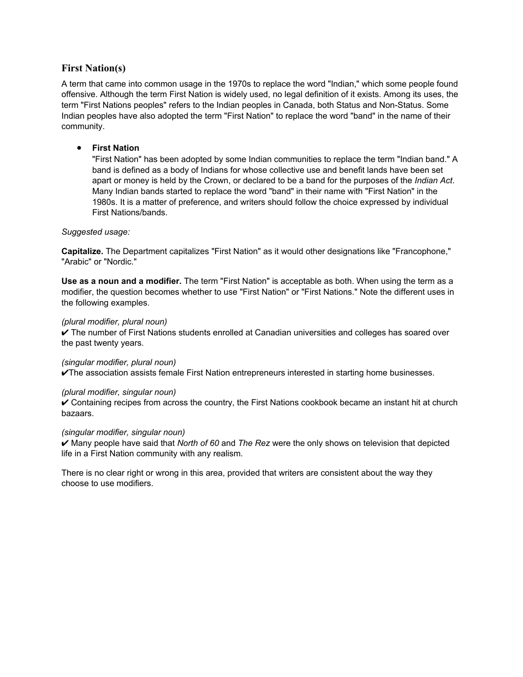## **First Nation(s)**

A term that came into common usage in the 1970s to replace the word "Indian," which some people found offensive. Although the term First Nation is widely used, no legal definition of it exists. Among its uses, the term "First Nations peoples" refers to the Indian peoples in Canada, both Status and Non-Status. Some Indian peoples have also adopted the term "First Nation" to replace the word "band" in the name of their community.

### • **First Nation**

"First Nation" has been adopted by some Indian communities to replace the term "Indian band." A band is defined as a body of Indians for whose collective use and benefit lands have been set apart or money is held by the Crown, or declared to be a band for the purposes of the *Indian Act*. Many Indian bands started to replace the word "band" in their name with "First Nation" in the 1980s. It is a matter of preference, and writers should follow the choice expressed by individual First Nations/bands.

### *Suggested usage:*

**Capitalize.** The Department capitalizes "First Nation" as it would other designations like "Francophone," "Arabic" or "Nordic."

**Use as a noun and a modifier.** The term "First Nation" is acceptable as both. When using the term as a modifier, the question becomes whether to use "First Nation" or "First Nations." Note the different uses in the following examples.

### *(plural modifier, plural noun)*

U The number of First Nations students enrolled at Canadian universities and colleges has soared over the past twenty years.

#### *(singular modifier, plural noun)*

 $\nu$ The association assists female First Nation entrepreneurs interested in starting home businesses.

#### *(plural modifier, singular noun)*

 $\vee$  Containing recipes from across the country, the First Nations cookbook became an instant hit at church bazaars.

#### *(singular modifier, singular noun)*

U Many people have said that *North of 60* and *The Rez* were the only shows on television that depicted life in a First Nation community with any realism.

There is no clear right or wrong in this area, provided that writers are consistent about the way they choose to use modifiers.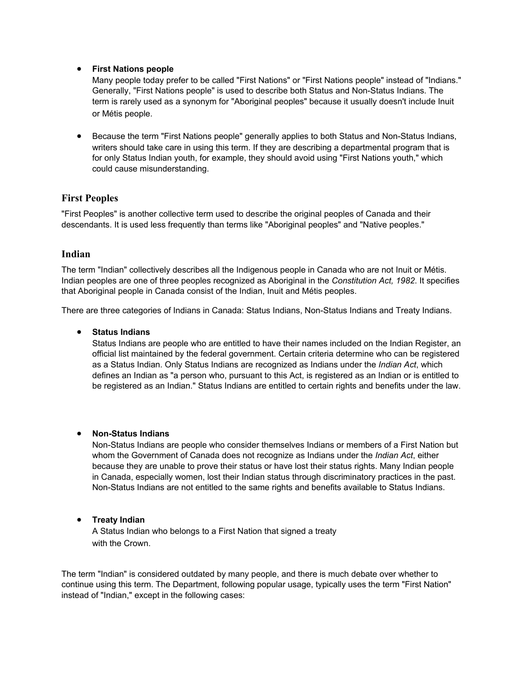### • **First Nations people**

Many people today prefer to be called "First Nations" or "First Nations people" instead of "Indians." Generally, "First Nations people" is used to describe both Status and Non-Status Indians. The term is rarely used as a synonym for "Aboriginal peoples" because it usually doesn't include Inuit or Métis people.

• Because the term "First Nations people" generally applies to both Status and Non-Status Indians, writers should take care in using this term. If they are describing a departmental program that is for only Status Indian youth, for example, they should avoid using "First Nations youth," which could cause misunderstanding.

## **First Peoples**

"First Peoples" is another collective term used to describe the original peoples of Canada and their descendants. It is used less frequently than terms like "Aboriginal peoples" and "Native peoples."

### **Indian**

The term "Indian" collectively describes all the Indigenous people in Canada who are not Inuit or Métis. Indian peoples are one of three peoples recognized as Aboriginal in the *Constitution Act, 1982*. It specifies that Aboriginal people in Canada consist of the Indian, Inuit and Métis peoples.

There are three categories of Indians in Canada: Status Indians, Non-Status Indians and Treaty Indians.

### • **Status Indians**

Status Indians are people who are entitled to have their names included on the Indian Register, an official list maintained by the federal government. Certain criteria determine who can be registered as a Status Indian. Only Status Indians are recognized as Indians under the *Indian Act*, which defines an Indian as "a person who, pursuant to this Act, is registered as an Indian or is entitled to be registered as an Indian." Status Indians are entitled to certain rights and benefits under the law.

### • **Non-Status Indians**

Non-Status Indians are people who consider themselves Indians or members of a First Nation but whom the Government of Canada does not recognize as Indians under the *Indian Act*, either because they are unable to prove their status or have lost their status rights. Many Indian people in Canada, especially women, lost their Indian status through discriminatory practices in the past. Non-Status Indians are not entitled to the same rights and benefits available to Status Indians.

### • **Treaty Indian**

A Status Indian who belongs to a First Nation that signed a treaty with the Crown.

The term "Indian" is considered outdated by many people, and there is much debate over whether to continue using this term. The Department, following popular usage, typically uses the term "First Nation" instead of "Indian," except in the following cases: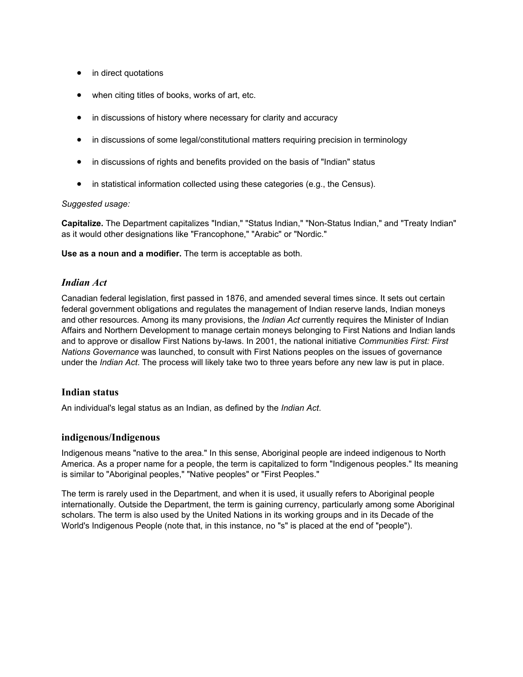- in direct quotations
- when citing titles of books, works of art, etc.
- in discussions of history where necessary for clarity and accuracy
- in discussions of some legal/constitutional matters requiring precision in terminology
- in discussions of rights and benefits provided on the basis of "Indian" status
- in statistical information collected using these categories (e.g., the Census).

#### *Suggested usage:*

**Capitalize.** The Department capitalizes "Indian," "Status Indian," "Non-Status Indian," and "Treaty Indian" as it would other designations like "Francophone," "Arabic" or "Nordic."

**Use as a noun and a modifier.** The term is acceptable as both.

### *Indian Act*

Canadian federal legislation, first passed in 1876, and amended several times since. It sets out certain federal government obligations and regulates the management of Indian reserve lands, Indian moneys and other resources. Among its many provisions, the *Indian Act* currently requires the Minister of Indian Affairs and Northern Development to manage certain moneys belonging to First Nations and Indian lands and to approve or disallow First Nations by-laws. In 2001, the national initiative *Communities First: First Nations Governance* was launched, to consult with First Nations peoples on the issues of governance under the *Indian Act*. The process will likely take two to three years before any new law is put in place.

### **Indian status**

An individual's legal status as an Indian, as defined by the *Indian Act*.

#### **indigenous/Indigenous**

Indigenous means "native to the area." In this sense, Aboriginal people are indeed indigenous to North America. As a proper name for a people, the term is capitalized to form "Indigenous peoples." Its meaning is similar to "Aboriginal peoples," "Native peoples" or "First Peoples."

The term is rarely used in the Department, and when it is used, it usually refers to Aboriginal people internationally. Outside the Department, the term is gaining currency, particularly among some Aboriginal scholars. The term is also used by the United Nations in its working groups and in its Decade of the World's Indigenous People (note that, in this instance, no "s" is placed at the end of "people").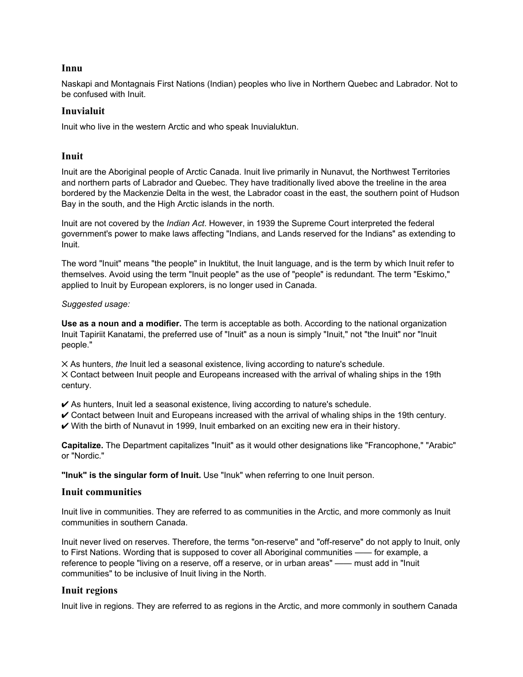### **Innu**

Naskapi and Montagnais First Nations (Indian) peoples who live in Northern Quebec and Labrador. Not to be confused with Inuit.

## **Inuvialuit**

Inuit who live in the western Arctic and who speak Inuvialuktun.

### **Inuit**

Inuit are the Aboriginal people of Arctic Canada. Inuit live primarily in Nunavut, the Northwest Territories and northern parts of Labrador and Quebec. They have traditionally lived above the treeline in the area bordered by the Mackenzie Delta in the west, the Labrador coast in the east, the southern point of Hudson Bay in the south, and the High Arctic islands in the north.

Inuit are not covered by the *Indian Act*. However, in 1939 the Supreme Court interpreted the federal government's power to make laws affecting "Indians, and Lands reserved for the Indians" as extending to Inuit.

The word "Inuit" means "the people" in Inuktitut, the Inuit language, and is the term by which Inuit refer to themselves. Avoid using the term "Inuit people" as the use of "people" is redundant. The term "Eskimo," applied to Inuit by European explorers, is no longer used in Canada.

### *Suggested usage:*

**Use as a noun and a modifier.** The term is acceptable as both. According to the national organization Inuit Tapiriit Kanatami, the preferred use of "Inuit" as a noun is simply "Inuit," not "the Inuit" nor "Inuit people."

V As hunters, *the* Inuit led a seasonal existence, living according to nature's schedule. V Contact between Inuit people and Europeans increased with the arrival of whaling ships in the 19th century.

 $\checkmark$  As hunters, Inuit led a seasonal existence, living according to nature's schedule.

- $\checkmark$  Contact between Inuit and Europeans increased with the arrival of whaling ships in the 19th century.
- $\vee$  With the birth of Nunavut in 1999, Inuit embarked on an exciting new era in their history.

**Capitalize.** The Department capitalizes "Inuit" as it would other designations like "Francophone," "Arabic" or "Nordic."

**"Inuk" is the singular form of Inuit.** Use "Inuk" when referring to one Inuit person.

### **Inuit communities**

Inuit live in communities. They are referred to as communities in the Arctic, and more commonly as Inuit communities in southern Canada.

Inuit never lived on reserves. Therefore, the terms "on-reserve" and "off-reserve" do not apply to Inuit, only to First Nations. Wording that is supposed to cover all Aboriginal communities —— for example, a reference to people "living on a reserve, off a reserve, or in urban areas" —— must add in "Inuit communities" to be inclusive of Inuit living in the North.

## **Inuit regions**

Inuit live in regions. They are referred to as regions in the Arctic, and more commonly in southern Canada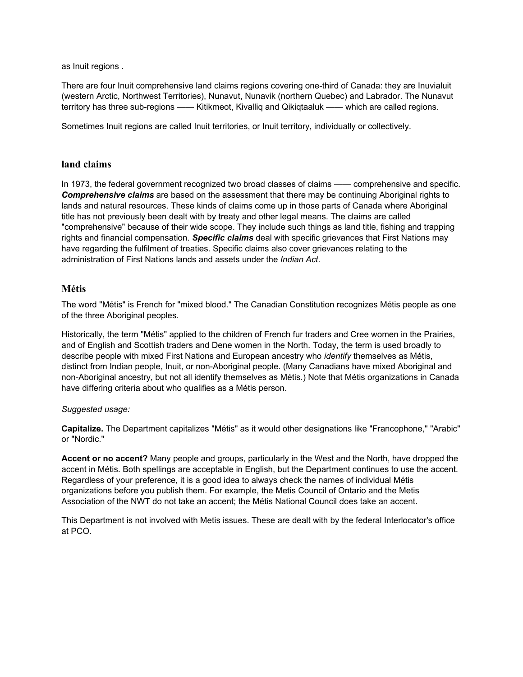as Inuit regions .

There are four Inuit comprehensive land claims regions covering one-third of Canada: they are Inuvialuit (western Arctic, Northwest Territories), Nunavut, Nunavik (northern Quebec) and Labrador. The Nunavut territory has three sub-regions —— Kitikmeot, Kivalliq and Qikiqtaaluk —— which are called regions.

Sometimes Inuit regions are called Inuit territories, or Inuit territory, individually or collectively.

## **land claims**

In 1973, the federal government recognized two broad classes of claims —— comprehensive and specific. *Comprehensive claims* are based on the assessment that there may be continuing Aboriginal rights to lands and natural resources. These kinds of claims come up in those parts of Canada where Aboriginal title has not previously been dealt with by treaty and other legal means. The claims are called "comprehensive" because of their wide scope. They include such things as land title, fishing and trapping rights and financial compensation. *Specific claims* deal with specific grievances that First Nations may have regarding the fulfilment of treaties. Specific claims also cover grievances relating to the administration of First Nations lands and assets under the *Indian Act*.

## **Métis**

The word "Métis" is French for "mixed blood." The Canadian Constitution recognizes Métis people as one of the three Aboriginal peoples.

Historically, the term "Métis" applied to the children of French fur traders and Cree women in the Prairies, and of English and Scottish traders and Dene women in the North. Today, the term is used broadly to describe people with mixed First Nations and European ancestry who *identify* themselves as Métis, distinct from Indian people, Inuit, or non-Aboriginal people. (Many Canadians have mixed Aboriginal and non-Aboriginal ancestry, but not all identify themselves as Métis.) Note that Métis organizations in Canada have differing criteria about who qualifies as a Métis person.

### *Suggested usage:*

**Capitalize.** The Department capitalizes "Métis" as it would other designations like "Francophone," "Arabic" or "Nordic."

**Accent or no accent?** Many people and groups, particularly in the West and the North, have dropped the accent in Métis. Both spellings are acceptable in English, but the Department continues to use the accent. Regardless of your preference, it is a good idea to always check the names of individual Métis organizations before you publish them. For example, the Metis Council of Ontario and the Metis Association of the NWT do not take an accent; the Métis National Council does take an accent.

This Department is not involved with Metis issues. These are dealt with by the federal Interlocator's office at PCO.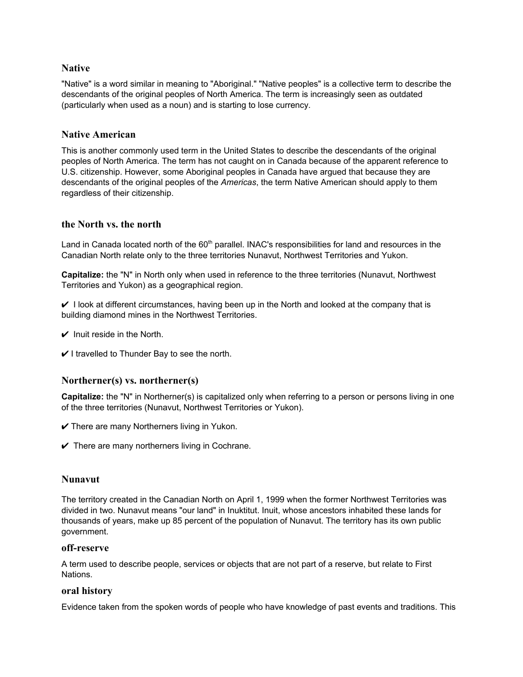## **Native**

"Native" is a word similar in meaning to "Aboriginal." "Native peoples" is a collective term to describe the descendants of the original peoples of North America. The term is increasingly seen as outdated (particularly when used as a noun) and is starting to lose currency.

### **Native American**

This is another commonly used term in the United States to describe the descendants of the original peoples of North America. The term has not caught on in Canada because of the apparent reference to U.S. citizenship. However, some Aboriginal peoples in Canada have argued that because they are descendants of the original peoples of the *Americas*, the term Native American should apply to them regardless of their citizenship.

### **the North vs. the north**

Land in Canada located north of the 60<sup>th</sup> parallel. INAC's responsibilities for land and resources in the Canadian North relate only to the three territories Nunavut, Northwest Territories and Yukon.

**Capitalize:** the "N" in North only when used in reference to the three territories (Nunavut, Northwest Territories and Yukon) as a geographical region.

 $\vee$  I look at different circumstances, having been up in the North and looked at the company that is building diamond mines in the Northwest Territories.

- $\vee$  Inuit reside in the North.
- $\vee$  I travelled to Thunder Bay to see the north.

### **Northerner(s) vs. northerner(s)**

**Capitalize:** the "N" in Northerner(s) is capitalized only when referring to a person or persons living in one of the three territories (Nunavut, Northwest Territories or Yukon).

- $\checkmark$  There are many Northerners living in Yukon.
- $\checkmark$  There are many northerners living in Cochrane.

### **Nunavut**

The territory created in the Canadian North on April 1, 1999 when the former Northwest Territories was divided in two. Nunavut means "our land" in Inuktitut. Inuit, whose ancestors inhabited these lands for thousands of years, make up 85 percent of the population of Nunavut. The territory has its own public government.

### **off-reserve**

A term used to describe people, services or objects that are not part of a reserve, but relate to First Nations.

### **oral history**

Evidence taken from the spoken words of people who have knowledge of past events and traditions. This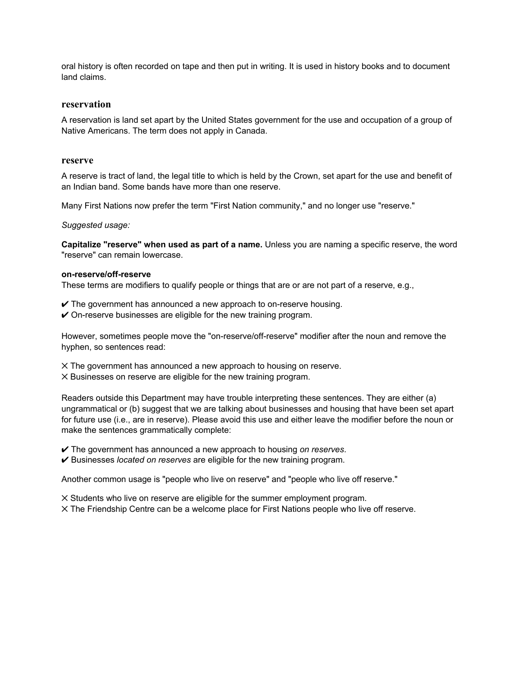oral history is often recorded on tape and then put in writing. It is used in history books and to document land claims.

#### **reservation**

A reservation is land set apart by the United States government for the use and occupation of a group of Native Americans. The term does not apply in Canada.

#### **reserve**

A reserve is tract of land, the legal title to which is held by the Crown, set apart for the use and benefit of an Indian band. Some bands have more than one reserve.

Many First Nations now prefer the term "First Nation community," and no longer use "reserve."

*Suggested usage:*

**Capitalize "reserve" when used as part of a name.** Unless you are naming a specific reserve, the word "reserve" can remain lowercase.

#### **on-reserve/off-reserve**

These terms are modifiers to qualify people or things that are or are not part of a reserve, e.g.,

- $\vee$  The government has announced a new approach to on-reserve housing.
- $\checkmark$  On-reserve businesses are eligible for the new training program.

However, sometimes people move the "on-reserve/off-reserve" modifier after the noun and remove the hyphen, so sentences read:

- $\times$  The government has announced a new approach to housing on reserve.
- V Businesses on reserve are eligible for the new training program.

Readers outside this Department may have trouble interpreting these sentences. They are either (a) ungrammatical or (b) suggest that we are talking about businesses and housing that have been set apart for future use (i.e., are in reserve). Please avoid this use and either leave the modifier before the noun or make the sentences grammatically complete:

- U The government has announced a new approach to housing *on reserves*.
- U Businesses *located on reserves* are eligible for the new training program.

Another common usage is "people who live on reserve" and "people who live off reserve."

- V Students who live on reserve are eligible for the summer employment program.
- V The Friendship Centre can be a welcome place for First Nations people who live off reserve.